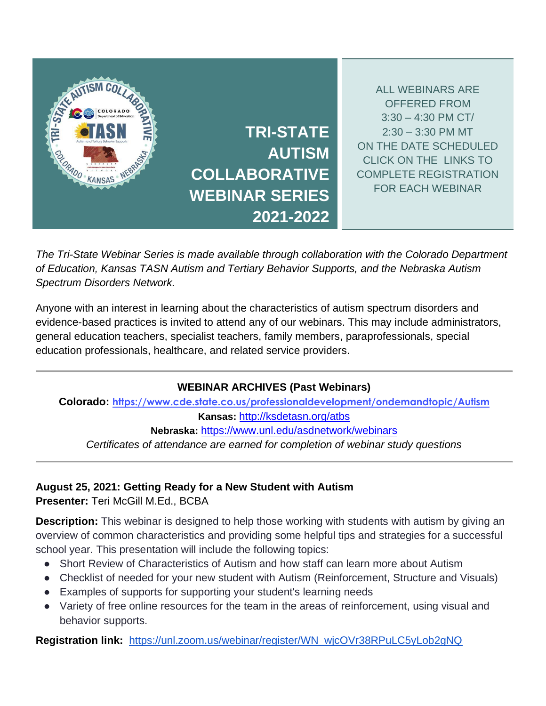

*The Tri-State Webinar Series is made available through collaboration with the Colorado Department of Education, Kansas TASN Autism and Tertiary Behavior Supports, and the Nebraska Autism Spectrum Disorders Network.*

Anyone with an interest in learning about the characteristics of autism spectrum disorders and evidence-based practices is invited to attend any of our webinars. This may include administrators, general education teachers, specialist teachers, family members, paraprofessionals, special education professionals, healthcare, and related service providers.

# **WEBINAR ARCHIVES (Past Webinars)**

**Colorado: <https://www.cde.state.co.us/professionaldevelopment/ondemandtopic/Autism> Kansas:** <http://ksdetasn.org/atbs> **Nebraska:** <https://www.unl.edu/asdnetwork/webinars> *Certificates of attendance are earned for completion of webinar study questions* 

# **August 25, 2021: Getting Ready for a New Student with Autism**

**Presenter:** Teri McGill M.Ed., BCBA

**Description:** This webinar is designed to help those working with students with autism by giving an overview of common characteristics and providing some helpful tips and strategies for a successful school year. This presentation will include the following topics:

- Short Review of Characteristics of Autism and how staff can learn more about Autism
- Checklist of needed for your new student with Autism (Reinforcement, Structure and Visuals)
- Examples of supports for supporting your student's learning needs
- Variety of free online resources for the team in the areas of reinforcement, using visual and behavior supports.

**Registration link:** [https://unl.zoom.us/webinar/register/WN\\_wjcOVr38RPuLC5yLob2gNQ](https://unl.zoom.us/webinar/register/WN_wjcOVr38RPuLC5yLob2gNQ)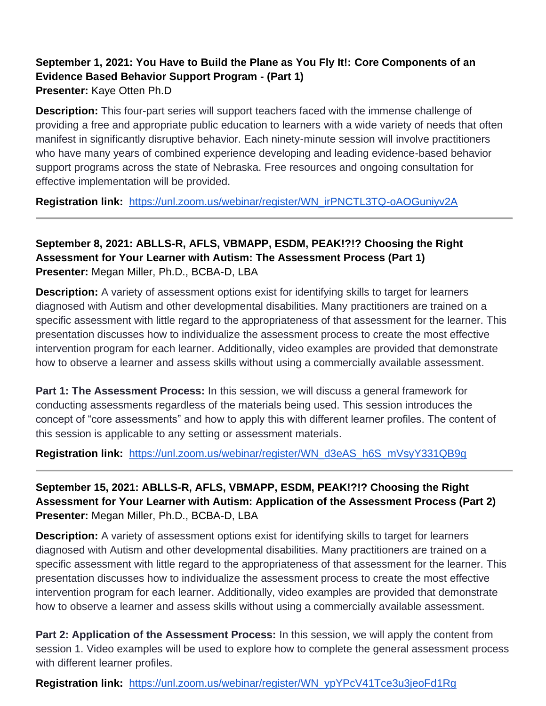# **September 1, 2021: You Have to Build the Plane as You Fly It!: Core Components of an Evidence Based Behavior Support Program - (Part 1) Presenter:** Kaye Otten Ph.D

**Description:** This four-part series will support teachers faced with the immense challenge of providing a free and appropriate public education to learners with a wide variety of needs that often manifest in significantly disruptive behavior. Each ninety-minute session will involve practitioners who have many years of combined experience developing and leading evidence-based behavior support programs across the state of Nebraska. Free resources and ongoing consultation for effective implementation will be provided.

**Registration link:** [https://unl.zoom.us/webinar/register/WN\\_irPNCTL3TQ-oAOGuniyv2A](https://unl.zoom.us/webinar/register/WN_irPNCTL3TQ-oAOGuniyv2A)

# **September 8, 2021: ABLLS-R, AFLS, VBMAPP, ESDM, PEAK!?!? Choosing the Right Assessment for Your Learner with Autism: The Assessment Process (Part 1) Presenter:** Megan Miller, Ph.D., BCBA-D, LBA

**Description:** A variety of assessment options exist for identifying skills to target for learners diagnosed with Autism and other developmental disabilities. Many practitioners are trained on a specific assessment with little regard to the appropriateness of that assessment for the learner. This presentation discusses how to individualize the assessment process to create the most effective intervention program for each learner. Additionally, video examples are provided that demonstrate how to observe a learner and assess skills without using a commercially available assessment.

**Part 1: The Assessment Process:** In this session, we will discuss a general framework for conducting assessments regardless of the materials being used. This session introduces the concept of "core assessments" and how to apply this with different learner profiles. The content of this session is applicable to any setting or assessment materials.

**Registration link:** [https://unl.zoom.us/webinar/register/WN\\_d3eAS\\_h6S\\_mVsyY331QB9g](https://unl.zoom.us/webinar/register/WN_d3eAS_h6S_mVsyY331QB9g)

# **September 15, 2021: ABLLS-R, AFLS, VBMAPP, ESDM, PEAK!?!? Choosing the Right Assessment for Your Learner with Autism: Application of the Assessment Process (Part 2) Presenter:** Megan Miller, Ph.D., BCBA-D, LBA

**Description:** A variety of assessment options exist for identifying skills to target for learners diagnosed with Autism and other developmental disabilities. Many practitioners are trained on a specific assessment with little regard to the appropriateness of that assessment for the learner. This presentation discusses how to individualize the assessment process to create the most effective intervention program for each learner. Additionally, video examples are provided that demonstrate how to observe a learner and assess skills without using a commercially available assessment.

**Part 2: Application of the Assessment Process:** In this session, we will apply the content from session 1. Video examples will be used to explore how to complete the general assessment process with different learner profiles.

**Registration link:** [https://unl.zoom.us/webinar/register/WN\\_ypYPcV41Tce3u3jeoFd1Rg](https://unl.zoom.us/webinar/register/WN_ypYPcV41Tce3u3jeoFd1Rg)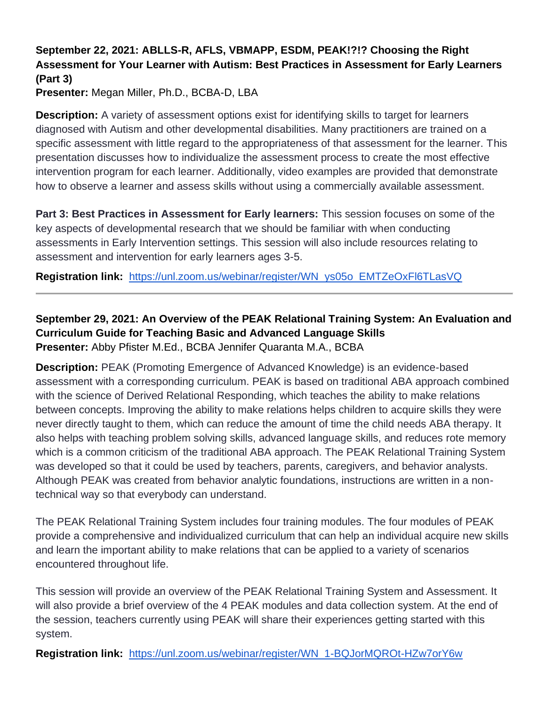# **September 22, 2021: ABLLS-R, AFLS, VBMAPP, ESDM, PEAK!?!? Choosing the Right Assessment for Your Learner with Autism: Best Practices in Assessment for Early Learners (Part 3)**

**Presenter:** Megan Miller, Ph.D., BCBA-D, LBA

**Description:** A variety of assessment options exist for identifying skills to target for learners diagnosed with Autism and other developmental disabilities. Many practitioners are trained on a specific assessment with little regard to the appropriateness of that assessment for the learner. This presentation discusses how to individualize the assessment process to create the most effective intervention program for each learner. Additionally, video examples are provided that demonstrate how to observe a learner and assess skills without using a commercially available assessment.

**Part 3: Best Practices in Assessment for Early learners:** This session focuses on some of the key aspects of developmental research that we should be familiar with when conducting assessments in Early Intervention settings. This session will also include resources relating to assessment and intervention for early learners ages 3-5.

**Registration link:** [https://unl.zoom.us/webinar/register/WN\\_ys05o\\_EMTZeOxFl6TLasVQ](https://unl.zoom.us/webinar/register/WN_ys05o_EMTZeOxFl6TLasVQ)

#### **September 29, 2021: An Overview of the PEAK Relational Training System: An Evaluation and Curriculum Guide for Teaching Basic and Advanced Language Skills Presenter:** Abby Pfister M.Ed., BCBA Jennifer Quaranta M.A., BCBA

**Description:** PEAK (Promoting Emergence of Advanced Knowledge) is an evidence-based assessment with a corresponding curriculum. PEAK is based on traditional ABA approach combined with the science of Derived Relational Responding, which teaches the ability to make relations between concepts. Improving the ability to make relations helps children to acquire skills they were never directly taught to them, which can reduce the amount of time the child needs ABA therapy. It also helps with teaching problem solving skills, advanced language skills, and reduces rote memory which is a common criticism of the traditional ABA approach. The PEAK Relational Training System was developed so that it could be used by teachers, parents, caregivers, and behavior analysts. Although PEAK was created from behavior analytic foundations, instructions are written in a nontechnical way so that everybody can understand.

The PEAK Relational Training System includes four training modules. The four modules of PEAK provide a comprehensive and individualized curriculum that can help an individual acquire new skills and learn the important ability to make relations that can be applied to a variety of scenarios encountered throughout life.

This session will provide an overview of the PEAK Relational Training System and Assessment. It will also provide a brief overview of the 4 PEAK modules and data collection system. At the end of the session, teachers currently using PEAK will share their experiences getting started with this system.

**Registration link:** [https://unl.zoom.us/webinar/register/WN\\_1-BQJorMQROt-HZw7orY6w](https://unl.zoom.us/webinar/register/WN_1-BQJorMQROt-HZw7orY6w)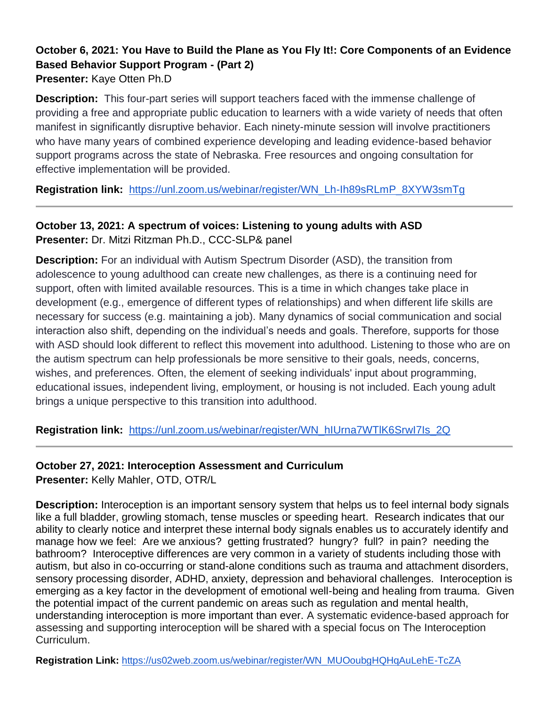#### **October 6, 2021: You Have to Build the Plane as You Fly It!: Core Components of an Evidence Based Behavior Support Program - (Part 2) Presenter:** Kaye Otten Ph.D

**Description:** This four-part series will support teachers faced with the immense challenge of providing a free and appropriate public education to learners with a wide variety of needs that often manifest in significantly disruptive behavior. Each ninety-minute session will involve practitioners who have many years of combined experience developing and leading evidence-based behavior support programs across the state of Nebraska. Free resources and ongoing consultation for effective implementation will be provided.

**Registration link:** [https://unl.zoom.us/webinar/register/WN\\_Lh-Ih89sRLmP\\_8XYW3smTg](https://unl.zoom.us/webinar/register/WN_Lh-Ih89sRLmP_8XYW3smTg)

### **October 13, 2021: A spectrum of voices: Listening to young adults with ASD Presenter:** Dr. Mitzi Ritzman Ph.D., CCC-SLP& panel

**Description:** For an individual with Autism Spectrum Disorder (ASD), the transition from adolescence to young adulthood can create new challenges, as there is a continuing need for support, often with limited available resources. This is a time in which changes take place in development (e.g., emergence of different types of relationships) and when different life skills are necessary for success (e.g. maintaining a job). Many dynamics of social communication and social interaction also shift, depending on the individual's needs and goals. Therefore, supports for those with ASD should look different to reflect this movement into adulthood. Listening to those who are on the autism spectrum can help professionals be more sensitive to their goals, needs, concerns, wishes, and preferences. Often, the element of seeking individuals' input about programming, educational issues, independent living, employment, or housing is not included. Each young adult brings a unique perspective to this transition into adulthood.

**Registration link:** [https://unl.zoom.us/webinar/register/WN\\_hIUrna7WTlK6SrwI7Is\\_2Q](https://unl.zoom.us/webinar/register/WN_hIUrna7WTlK6SrwI7Is_2Q)

# **October 27, 2021: Interoception Assessment and Curriculum**

**Presenter:** Kelly Mahler, OTD, OTR/L

**Description:** Interoception is an important sensory system that helps us to feel internal body signals like a full bladder, growling stomach, tense muscles or speeding heart. Research indicates that our ability to clearly notice and interpret these internal body signals enables us to accurately identify and manage how we feel: Are we anxious? getting frustrated? hungry? full? in pain? needing the bathroom? Interoceptive differences are very common in a variety of students including those with autism, but also in co-occurring or stand-alone conditions such as trauma and attachment disorders, sensory processing disorder, ADHD, anxiety, depression and behavioral challenges. Interoception is emerging as a key factor in the development of emotional well-being and healing from trauma. Given the potential impact of the current pandemic on areas such as regulation and mental health, understanding interoception is more important than ever. A systematic evidence-based approach for assessing and supporting interoception will be shared with a special focus on The Interoception Curriculum.

**Registration Link:** [https://us02web.zoom.us/webinar/register/WN\\_MUOoubgHQHqAuLehE-TcZA](https://us02web.zoom.us/webinar/register/WN_MUOoubgHQHqAuLehE-TcZA)